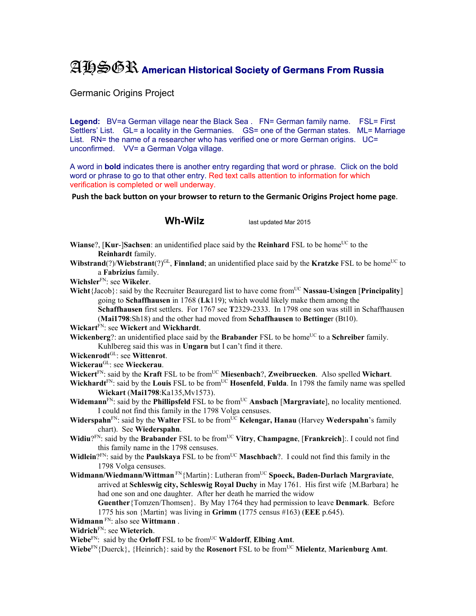## AHSGR **American Historical Society of Germans From Russia**

Germanic Origins Project

Legend: BV=a German village near the Black Sea . FN= German family name. FSL= First Settlers' List. GL= a locality in the Germanies. GS= one of the German states. ML= Marriage List. RN= the name of a researcher who has verified one or more German origins. UC= unconfirmed. VV= a German Volga village.

A word in **bold** indicates there is another entry regarding that word or phrase. Click on the bold word or phrase to go to that other entry. Red text calls attention to information for which verification is completed or well underway.

**Push the back button on your browser to return to the Germanic Origins Project home page**.

**Wh-Wilz** last updated Mar 2015

- **Wianse**?, [Kur-]Sachsen: an unidentified place said by the **Reinhard** FSL to be home<sup>UC</sup> to the **Reinhardt** family.
- **Wibstrand**(?)/**Wiebstrant**(?)<sup>GL</sup>, **Finnland**; an unidentified place said by the **Kratzke** FSL to be home<sup>UC</sup> to a **Fabrizius** family.
- **Wichsler**FN: see **Wikeler**.
- **Wicht**{Jacob}: said by the Recruiter Beauregard list to have come from<sup>UC</sup> Nassau-Usingen [Principality] going to **Schaffhausen** in 1768 (**Lk**119); which would likely make them among the **Schaffhausen** first settlers. For 1767 see **T**2329-2333. In 1798 one son was still in Schaffhausen

(**Mai1798**:Sh18) and the other had moved from **Schaffhausen** to **Bettinge**r (Bt10).

**Wickart**FN: see **Wickert** and **Wickhardt**.

**Wickenberg**?: an unidentified place said by the **Brabander** FSL to be home<sup>UC</sup> to a **Schreiber** family. Kuhlbereg said this was in **Ungarn** but I can't find it there.

- **Wickenrodt**GL: see **Wittenrot**.
- **Wickerau**GL: see **Wieckerau**.
- **Wickert**FN: said by the **Kraft** FSL to be fromUC **Miesenbach**?, **Zweibruecken**. Also spelled **Wichart**.
- **Wickhardt**<sup>FN</sup>: said by the **Louis** FSL to be from<sup>UC</sup> **Hosenfeld**, **Fulda**. In 1798 the family name was spelled **Wickart** (**Mai1798**:Ka135,Mv1573).
- **Widemann**<sup>FN</sup>: said by the **Phillipsfeld** FSL to be from<sup>UC</sup> **Ansbach** [Margraviate], no locality mentioned. I could not find this family in the 1798 Volga censuses.
- **Widerspahn**<sup>FN</sup>: said by the **Walter** FSL to be from<sup>UC</sup> **Kelengar, Hanau** (Harvey **Wederspahn**'s family chart). See **Wiederspahn**.
- **Widiu**?FN: said by the **Brabander** FSL to be from<sup>UC</sup> Vitry, Champagne, [Frankreich]:. I could not find this family name in the 1798 censuses.
- **Widlein**?FN: said by the **Paulskaya** FSL to be from<sup>UC</sup> **Maschbach**?. I could not find this family in the 1798 Volga censuses.
- **Widmann/Wiedmann/Wittman** FN{Martin}: Lutheran fromUC **Spoeck, Baden-Durlach Margraviate**, arrived at **Schleswig city, Schleswig Royal Duchy** in May 1761. His first wife {M.Barbara} he had one son and one daughter. After her death he married the widow **Guenther**{Tomzen/Thomsen}. By May 1764 they had permission to leave **Denmark**. Before 1775 his son {Martin} was living in **Grimm** (1775 census #163) (**EEE** p.645).
- **Widmann** FN: also see **Wittmann** .

**Widrich**FN: see **Wieterich**.

**Wiebe**<sup>FN</sup>: said by the **Orloff** FSL to be from<sup>UC</sup> **Waldorff**, **Elbing Amt**.

**Wiebe**FN{Duerck}, {Heinrich}: said by the **Rosenort** FSL to be fromUC **Mielentz**, **Marienburg Amt**.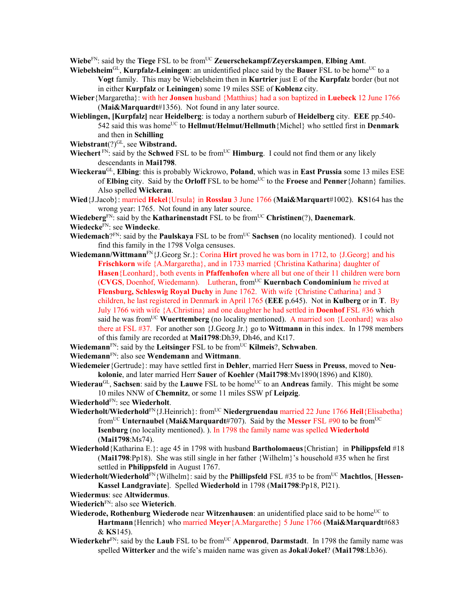**Wiebe**FN: said by the **Tiege** FSL to be fromUC **Zeuerschekampf/Zeyerskampen**, **Elbing Amt**.

- **Wiebelsheim**<sup>GL</sup>, **Kurpfalz-Leiningen**: an unidentified place said by the **Bauer** FSL to be home<sup>UC</sup> to a **Vogt** family. This may be Wiebelsheim then in **Kurtrier** just E of the **Kurpfalz** border (but not in either **Kurpfalz** or **Leiningen**) some 19 miles SSE of **Koblenz** city.
- **Wieber**{Margaretha}: with her **Jonsen** husband {Matthius} had a son baptized in **Luebeck** 12 June 1766 (**Mai&Marquardt**#1356). Not found in any later source.
- **Wieblingen, [Kurpfalz]** near **Heidelberg**: is today a northern suburb of **Heidelberg** city. **EEE** pp.540- 542 said this was homeUC to **Hellmut/Helmut/Hellmuth**{Michel} who settled first in **Denmark** and then in **Schilling**
- Wiebstrant<sup>(?)GL</sup>, see Wibstrand.
- **Wiechert** FN: said by the **Schwed** FSL to be from<sup>UC</sup> **Himburg**. I could not find them or any likely descendants in **Mai1798**.
- **Wieckerau**GL, **Elbing**: this is probably Wickrowo, **Poland**, which was in **East Prussia** some 13 miles ESE of **Elbing** city. Said by the **Orloff** FSL to be home<sup>UC</sup> to the **Froese** and **Penner**{Johann} families. Also spelled **Wickerau**.
- **Wied**{J.Jacob}: married **Hekel**{Ursula} in **Rosslau** 3 June 1766 (**Mai&Marquart**#1002). **KS**164 has the wrong year: 1765. Not found in any later source.
- **Wiedeberg**<sup>FN</sup>: said by the **Katharinenstadt** FSL to be from<sup>UC</sup> **Christinen**(?), **Daenemark**.

**Wiedecke**FN: see **Windecke**.

- **Wiedemach**?<sup>FN</sup>: said by the **Paulskaya** FSL to be from<sup>UC</sup> Sachsen (no locality mentioned). I could not find this family in the 1798 Volga censuses.
- **Wiedemann/Wittmann**FN{J.Georg Sr.}: Corina **Hirt** proved he was born in 1712, to {J.Georg} and his **Frischkorn** wife {A.Margaretha}, and in 1733 married {Christina Katharina} daughter of **Hasen**{Leonhard}, both events in **Pfaffenhofen** where all but one of their 11 children were born (**CVGS**, Doenhof, Wiedemann). Lutheran, fromUC **Kuernbach Condominium** he rrived at **Flensburg, Schleswig Royal Duchy** in June 1762. With wife {Christine Catharina} and 3 children, he last registered in Denmark in April 1765 (**EEE** p.645). Not in **Kulberg** or in **T**. By July 1766 with wife {A.Christina} and one daughter he had settled in **Doenhof** FSL #36 which said he was from<sup>UC</sup> Wuerttemberg (no locality mentioned). A married son {Leonhard} was also there at FSL #37. For another son {J.Georg Jr.} go to **Wittmann** in this index. In 1798 members of this family are recorded at **Mai1798**:Dh39, Dh46, and Kt17.
- **Wiedemann**<sup>FN</sup>: said by the **Leitsinger** FSL to be from<sup>UC</sup> **Kilmeis**?, **Schwaben**.
- **Wiedemann**FN: also see **Wendemann** and **Wittmann**.
- **Wiedemeier**{Gertrude}: may have settled first in **Dehler**, married Herr **Suess** in **Preuss**, moved to **Neukolonie**, and later married Herr **Sauer** of **Koehler** (**Mai1798**:Mv1890(1896) and Kl80).
- **Wiederau**<sup>GL</sup>, **Sachsen**: said by the **Lauwe** FSL to be home<sup>UC</sup> to an **Andreas** family. This might be some 10 miles NNW of **Chemnitz**, or some 11 miles SSW pf **Leipzig**.
- **Wiederhold**FN: see **Wiederholt**.
- Wiederholt/Wiederhold<sup>FN</sup>{J.Heinrich}: from<sup>UC</sup> Niedergruendau married 22 June 1766 Heil{Elisabetha} fromUC **Unternaubel** (**Mai&Marquardt**#707). Said by the **Messer** FSL #90 to be fromUC **Isenburg** (no locality mentioned). ). In 1798 the family name was spelled **Wiederhold** (**Mai1798**:Ms74).
- **Wiederhold**{Katharina E.}: age 45 in 1798 with husband **Bartholomaeus**{Christian} in **Philippsfeld** #18 (**Mai1798**:Pp18). She was still single in her father {Wilhelm}'s household #35 when he first settled in **Philippsfeld** in August 1767.
- Wiederholt/Wiederhold<sup>FN</sup>{Wilhelm}: said by the Phillipsfeld FSL #35 to be from<sup>UC</sup> Machtlos, [Hessen-**Kassel Landgraviate**]. Spelled **Wiederhold** in 1798 (**Mai1798**:Pp18, Pl21).
- **Wiedermus**: see **Altwidermus**.
- **Wiederich**FN: also see **Wieterich**.
- Wiederode, Rothenburg Wiederode near Witzenhausen: an unidentified place said to be home<sup>UC</sup> to **Hartmann**{Henrich} who married **Meyer**{A.Margarethe} 5 June 1766 (**Mai&Marquardt**#683 & **KS**145).
- **Wiederkehr**<sup>FN</sup>: said by the **Laub** FSL to be from<sup>UC</sup> **Appenrod**, **Darmstadt**. In 1798 the family name was spelled **Witterker** and the wife's maiden name was given as **Jokal**/**Jokel**? (**Mai1798**:Lb36).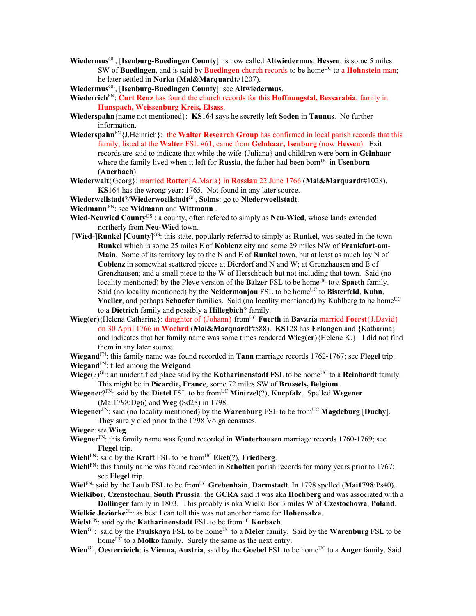**Wiedermus**GL, [**Isenburg-Buedingen County**]: is now called **Altwiedermus**, **Hessen**, is some 5 miles SW of **Buedingen**, and is said by **Buedingen** church records to be home<sup>UC</sup> to a **Hohnstein** man; he later settled in **Norka** (**Mai&Marquardt**#1207).

**Wiedermus**GL, [**Isenburg-Buedingen County**]: see **Altwiedermus**.

- **Wiederrich**FN: **Curt Renz** has found the church records for this **Hoffnungstal, Bessarabia**, family in **Hunspach, Weissenburg Kreis, Elsass**.
- **Wiederspahn**{name not mentioned}: **KS**164 says he secretly left **Soden** in **Taunus**. No further information.
- **Wiederspahn**<sup>FN</sup>{J.Heinrich}: the **Walter Research Group** has confirmed in local parish records that this family, listed at the **Walter** FSL #61, came from **Gelnhaar, Isenburg** (now **Hessen**). Exit records are said to indicate that while the wife {Juliana} and childlren were born in **Gelnhaar** where the family lived when it left for **Russia**, the father had been born<sup>UC</sup> in **Usenborn** (**Auerbach**).
- **Wiederwalt**{Georg}: married **Rotter**{A.Maria} in **Rosslau** 22 June 1766 (**Mai&Marquardt**#1028). **KS**164 has the wrong year: 1765. Not found in any later source.
- **Wiederwellstadt**?/**Wiederwoellstadt**GL, **Solms**: go to **Niederwoellstadt**.

**Wiedmann** FN: see **Widmann** and **Wittmann** .

- **Wied-Neuwied County**GS : a county, often refered to simply as **Neu-Wied**, whose lands extended northerly from **Neu-Wied** town.
- [**Wied-**]**Runkel** [**County**] GS: this state, popularly referred to simply as **Runkel**, was seated in the town **Runkel** which is some 25 miles E of **Koblenz** city and some 29 miles NW of **Frankfurt-am-Main**. Some of its territory lay to the N and E of **Runkel** town, but at least as much lay N of **Coblenz** in somewhat scattered pieces at Dierdorf and N and W; at Grenzhausen and E of Grenzhausen; and a small piece to the W of Herschbach but not including that town. Said (no locality mentioned) by the Pleve version of the **Balzer** FSL to be home<sup>UC</sup> to a **Spaeth** family. Said (no locality mentioned) by the **Neidermonjou** FSL to be home<sup>UC</sup> to **Bisterfeld**, **Kuhn**, **Voeller**, and perhaps **Schaefer** families. Said (no locality mentioned) by Kuhlberg to be home<sup>UC</sup> to a **Dietrich** family and possibly a **Hillegbich**? family.
- **Wieg(er**){Helena Catharina}: daughter of {Johann} from<sup>UC</sup> **Fuerth** in **Bavaria married Foerst**{J.David} on 30 April 1766 in **Woehrd** (**Mai&Marquardt**#588). **KS**128 has **Erlangen** and {Katharina} and indicates that her family name was some times rendered **Wieg**(**er**){Helene K.}. I did not find them in any later source.

**Wiegand**FN: this family name was found recorded in **Tann** marriage records 1762-1767; see **Flegel** trip. **Wiegand**FN: filed among the **Weigand**.

- **Wiege**(?)<sup>GL</sup>: an unidentified place said by the **Katharinenstadt** FSL to be home<sup>UC</sup> to a **Reinhardt** family. This might be in **Picardie, France**, some 72 miles SW of **Brussels, Belgium**.
- **Wiegener**?FN: said by the **Dietel** FSL to be fromUC **Minirzel**(?), **Kurpfalz**. Spelled **Wegener** (Mai1798:Dg6) and **Weg** (Sd28) in 1798.
- **Wiegener**<sup>FN</sup>: said (no locality mentioned) by the **Warenburg** FSL to be from<sup>UC</sup> **Magdeburg** [Duchy]. They surely died prior to the 1798 Volga censuses.

**Wieger**: see **Wieg**.

- **Wiegner**FN: this family name was found recorded in **Winterhausen** marriage records 1760-1769; see **Flegel** trip.
- **Wiehl** $F_N$ : said by the **Kraft** FSL to be from <sup>UC</sup> **Eket**(?), **Friedberg**.
- **Wiehl**FN: this family name was found recorded in **Schotten** parish records for many years prior to 1767; see **Flegel** trip.
- **Wiel**FN: said by the **Laub** FSL to be fromUC **Grebenhain**, **Darmstadt**. In 1798 spelled (**Mai1798**:Ps40).

**Wielkibor**, **Czenstochau**, **South Prussia**: the **GCRA** said it was aka **Hochberg** and was associated with a **Dollinger** family in 1803. This proably is nka Wielki Bor 3 miles W of **Czestochowa**, **Poland**.

- **Wielkie Jeziorke**GL: as best I can tell this was not another name for **Hohensalza**.
- **Wielst**<sup>FN</sup>: said by the **Katharinenstadt** FSL to be from<sup>UC</sup> **Korbach**.
- **Wien**<sup>GL</sup>: said by the **Paulskaya** FSL to be home<sup>UC</sup> to a **Meier** family. Said by the **Warenburg** FSL to be home<sup>UC</sup> to a **Molko** family. Surely the same as the next entry.
- **Wien**<sup>GL</sup>, **Oesterrieich**: is **Vienna, Austria**, said by the **Goebel** FSL to be home<sup>UC</sup> to a **Anger** family. Said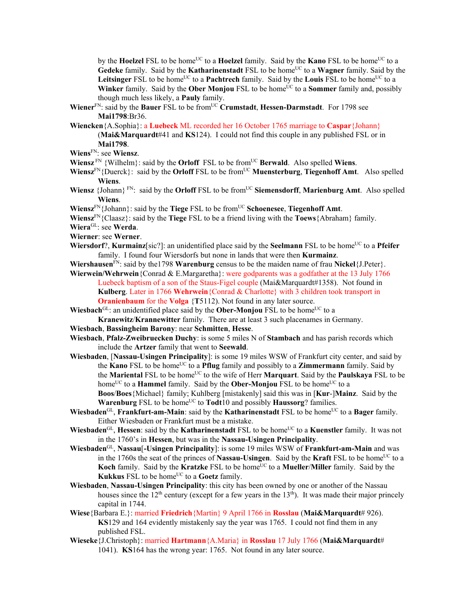by the **Hoelzel** FSL to be home<sup>UC</sup> to a **Hoelzel** family. Said by the **Kano** FSL to be home<sup>UC</sup> to a Gedeke family. Said by the **Katharinenstadt** FSL to be home<sup>UC</sup> to a **Wagner** family. Said by the Leitsinger FSL to be home<sup>UC</sup> to a **Pachtrech** family. Said by the Louis FSL to be home<sup>UC</sup> to a **Winker** family. Said by the **Ober Monjou** FSL to be home<sup>UC</sup> to a **Sommer** family and, possibly though much less likely, a **Pauly** family.

- **Wiener**<sup>FN</sup>: said by the **Bauer** FSL to be from<sup>UC</sup> Crumstadt, **Hessen-Darmstadt**. For 1798 see **Mai1798**:Br36.
- **Wiencken**{A.Sophia}: a **Luebeck** ML recorded her 16 October 1765 marriage to **Caspar**{Johann} (**Mai&Marquardt**#41 and **KS**124). I could not find this couple in any published FSL or in **Mai1798**.
- **Wiens**FN: see **Wiensz**.
- **Wiensz**  $\text{FN }$  {Wilhelm}: said by the **Orloff** FSL to be from<sup>UC</sup> **Berwald**. Also spelled **Wiens**.
- **Wiensz**<sup>FN</sup>{Duerck}: said by the **Orloff** FSL to be from<sup>UC</sup> **Muensterburg**, **Tiegenhoff Amt**. Also spelled **Wiens**.
- Wiensz {Johann} FN: said by the **Orloff** FSL to be from<sup>UC</sup> Siemensdorff, Marienburg Amt. Also spelled **Wiens**.
- **Wiensz**FN{Johann}: said by the **Tiege** FSL to be fromUC **Schoenesee**, **Tiegenhoff Amt**.
- **Wiensz**FN{Claasz}: said by the **Tiege** FSL to be a friend living with the **Toews**{Abraham} family.
- **Wiera**GL: see **Werda**.
- **Wierner**: see **Werner**.
- **Wiersdorf**?, **Kurmainz**[sic?]: an unidentified place said by the **Seelmann** FSL to be home<sup>UC</sup> to a **Pfeifer** family. I found four Wiersdorfs but none in lands that were then **Kurmainz**.
- **Wiershausen**FN: said by the1798 **Warenburg** census to be the maiden name of frau **Nickel**{J.Peter}.
- **Wierwein/Wehrwein**{Conrad & E.Margaretha}: were godparents was a godfather at the 13 July 1766 Luebeck baptism of a son of the Staus-Figel couple (Mai&Marquardt#1358). Not found in **Kulberg**. Later in 1766 **Wehrwein**{Conrad & Charlotte} with 3 children took transport in **Oranienbaum** for the **Volga** {**T**5112). Not found in any later source.

**Wiesbach**<sup>GL</sup>: an unidentified place said by the **Ober-Monjou** FSL to be home<sup>UC</sup> to a **Kranewitz**/**Krannewitter** family. There are at least 3 such placenames in Germany.

**Wiesbach**, **Bassingheim Barony**: near **Schmitten**, **Hesse**.

**Wiesbach**, **Pfalz-Zweibruecken Duchy**: is some 5 miles N of **Stambach** and has parish records which include the **Artzer** family that went to **Seewald**.

**Wiesbaden**, [**Nassau-Usingen Principality**]: is some 19 miles WSW of Frankfurt city center, and said by the **Kano** FSL to be home<sup>UC</sup> to a **Pflug** family and possibly to a **Zimmermann** family. Said by the **Mariental** FSL to be homeUC to the wife of Herr **Marquart**. Said by the **Paulskaya** FSL to be home<sup>UC</sup> to a **Hammel** family. Said by the **Ober-Monjou** FSL to be home<sup>UC</sup> to a **Boos**/**Boes**{Michael} family; Kuhlberg [mistakenly] said this was in [**Kur**-]**Mainz**. Said by the

Warenburg FSL to be home<sup>UC</sup> to **Todt**10 and possibly **Haussorg**? families.

- **Wiesbaden**<sup>GL</sup>, **Frankfurt-am-Main**: said by the **Katharinenstadt** FSL to be home<sup>UC</sup> to a **Bager** family. Either Wiesbaden or Frankfurt must be a mistake.
- **Wiesbaden**<sup>GL</sup>, **Hessen**: said by the **Katharinenstadt** FSL to be home<sup>UC</sup> to a **Kuenstler** family. It was not in the 1760's in **Hessen**, but was in the **Nassau-Usingen Principality**.
- **Wiesbaden**GL, **Nassau**[**-Usingen Principality**]: is some 19 miles WSW of **Frankfurt-am-Main** and was in the 1760s the seat of the princes of **Nassau-Usingen**. Said by the **Kraft** FSL to be home<sup>UC</sup> to a **Koch** family. Said by the **Kratzke** FSL to be home<sup>UC</sup> to a **Mueller/Miller** family. Said by the **Kukkus** FSL to be home<sup>UC</sup> to a **Goetz** family.
- **Wiesbaden**, **Nassau-Usingen Principality**: this city has been owned by one or another of the Nassau houses since the  $12<sup>th</sup>$  century (except for a few years in the  $13<sup>th</sup>$ ). It was made their major princely capital in 1744.
- **Wiese**{Barbara E.}: married **Friedrich**{Martin} 9 April 1766 in **Rosslau** (**Mai&Marquardt**# 926). **KS**129 and 164 evidently mistakenly say the year was 1765. I could not find them in any published FSL.
- **Wieseke**{J.Christoph}: married **Hartmann**{A.Maria} in **Rosslau** 17 July 1766 (**Mai&Marquardt**# 1041). **KS**164 has the wrong year: 1765. Not found in any later source.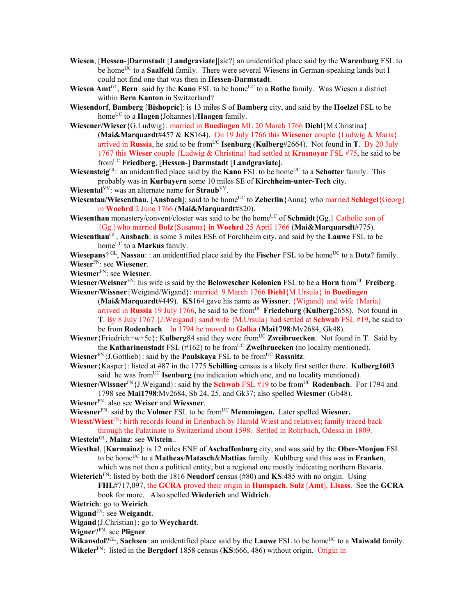- **Wiesen**, [**Hessen**-]**Darmstadt** [**Landgraviate**][sic?] an unidentified place said by the **Warenburg** FSL to be home<sup>UC</sup> to a **Saalfeld** family. There were several Wiesens in German-speaking lands but I could not find one that was then in **Hessen-Darmstadt**.
- **Wiesen Amt**<sup>GL</sup>, **Bern**: said by the **Kano** FSL to be home<sup>UC</sup> to a **Rothe** family. Was Wiesen a district within **Bern Kanton** in Switzerland?
- **Wiesendorf**, **Bamberg** [**Bishopric**]: is 13 miles S of **Bamberg** city, and said by the **Hoelzel** FSL to be homeUC to a **Hagen**{Johannes}/**Haagen** family.
- **Wiesener/Wieser**{G.Ludwig}: married in **Buedingen** ML 20 March 1766 **Diehl**{M.Christina} (**Mai&Marquardt**#457 & **KS**164). On 19 July 1766 this **Wiesener** couple {Ludwig & Maria} arrived in **Russia**, he said to be from<sup>UC</sup> **Isenburg** (**Kulberg**#2664). Not found in **T**. By 20 July 1767 this **Wieser** couple {Ludwig & Christina} had settled at **Krasnoyar** FSL #75, he said to be fromUC **Friedberg**, [**Hessen**-] **Darmstadt** [**Landgraviate**].

Wiesensteig<sup>GL</sup>: an unidentified place said by the **Kano** FSL to be home<sup>UC</sup> to a **Schotter** family. This probably was in **Kurbayern** some 10 miles SE of **Kirchheim-unter-Tech** city.

- **Wiesental**<sup>VV</sup>: was an alternate name for **Straub**<sup>VV</sup>.
- **Wiesentau/Wiesenthau, [Ansbach]:** said to be home<sup>UC</sup> to **Zeberlin**{Anna} who married **Schlegel**{Georg} in **Woehrd** 2 June 1766 (**Mai&Marquardt**#820).
- **Wiesenthau** monastery/convent/closter was said to be the home<sup>UC</sup> of **Schmidt**{Gg.} Catholic son of {Gg.}who married **Bolz**{Susanna} in **Woehrd** 25 April 1766 (**Mai&Marquarsdt**#775).
- **Wiesenthau**GL, **Ansbach**: is some 3 miles ESE of Forchheim city, and said by the **Lauwe** FSL to be home<sup>UC</sup> to a **Markus** family.
- **Wiesepans**? GL, **Nassau**:: an unidentified place said by the **Fischer** FSL to be home<sup>UC</sup> to a **Dotz**? family. **Wieser**FN: see **Wiesener**.
- **Wiesmer**FN: see **Wiesner**.
- **Wiesner/Weisner**FN: his wife is said by the **Belowescher Kolonien** FSL to be a **Horn** fromUC **Freiberg**. **Wiesner/Wissner**{Weigand/Wigand}: married 9 March 1766 **Diehl**{M.Ursula} in **Buedingen**
	- (**Mai&Marquardt**#449). **KS**164 gave his name as **Wissner**. {Wigand} and wife {Maria} arrived in **Russia** 19 July 1766, he said to be from<sup>UC</sup> **Friedeburg** (**Kulberg**2658). Not found in **T**. By 8 July 1767 {J.Weigand} sand wife {M.Ursula} had settled at **Schwab** FSL #19, he said to be from **Rodenbach**. In 1794 he moved to **Galka** (**Mai1798**:Mv2684, Gk48).
- **Wiesner**{Friedrich+w+5c}: Kulberg84 said they were from<sup>UC</sup> Zweibruecken. Not found in **T**. Said by the **Katharinenstadt** FSL  $(H162)$  to be from<sup>UC</sup> **Zweibruecken** (no locality mentioned).
- **Wiesner**<sup>FN</sup>{J.Gottlieb}: said by the **Paulskaya** FSL to be from<sup>UC</sup> **Rassnitz**.
- **Wiesner**{Kasper}: listed at #87 in the 1775 **Schilling** census is a likely first settler there. **Kulberg1603** said he was from<sup>UC</sup> **Isenburg** (no indication which one, and no locality mentioned).
- **Wiesner/Wissner**<sup>FN</sup>{J.Weigand}: said by the **Schwab** FSL #19 to be from<sup>UC</sup> **Rodenbach**. For 1794 and 1798 see **Mai1798**:Mv2684, Sb 24, 25, and Gk37; also spelled **Wiesmer** (Gb48).
- **Wiesner**FN: also see **Weiser** and **Wiessner**.
- **Wiessner**<sup>FN</sup>: said by the **Volmer** FSL to be from<sup>UC</sup> **Memmingen.** Later spelled **Wiesner.**

**Wiesst/Wiest**FN: birth records found in Erlenbach by Harold Wiest and relatives; family traced back through the Palatinate to Switzerland about 1598. Settled in Rohrbach, Odessa in 1809.

- **Wiestein**GL, **Mainz**: see **Wistein**..
- **Wiesthal**, [**Kurmainz**]: is 12 miles ENE of **Aschaffenburg** city, and was said by the **Ober-Monjou** FSL to be homeUC to a **Matheas**/**Matasch**&**Mattias** family. Kuhlberg said this was in **Franken**, which was not then a political entity, but a regional one mostly indicating northern Bavaria.
- **Wieterich**FN: listed by both the 1816 **Neudorf** census (#80) and **KS**:485 with no origin. Using **FHL**#717,097, the **GCRA** proved their origin in **Hunspach**, **Sulz** [**Amt**], **Elsass**. See the **GCRA**
	- book for more. Also spelled **Wiederich** and **Widrich**.
- **Wietrich**: go to **Weirich**.
- **Wigand**FN: see **Weigandt**.
- **Wigand**{J.Christian}: go to **Weychardt**.
- **Wigner**?FN: see **Pligner**.
- **Wikansdol**?<sup>GL</sup>, **Sachsen**: an unidentified place said by the **Lauwe** FSL to be home<sup>UC</sup> to a **Maiwald** family. **Wikeler**FN: listed in the **Bergdorf** 1858 census (**KS**:666, 486) without origin. Origin in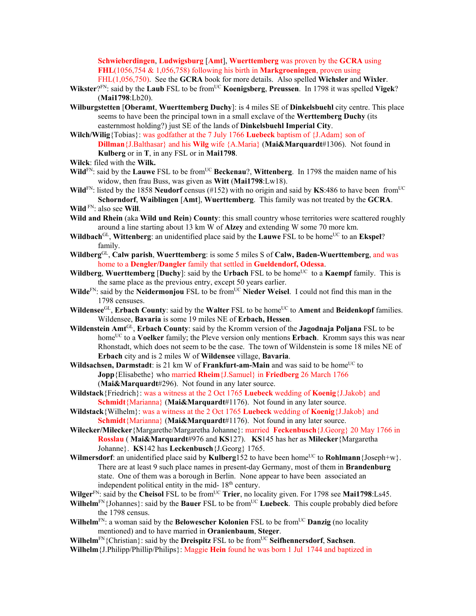**Schwieberdingen**, **Ludwigsburg** [**Amt**], **Wuerttemberg** was proven by the **GCRA** using **FHL**(1056,754 & 1,056,758) following his birth in **Markgroeningen**, proven using FHL(1,056,750). See the **GCRA** book for more details. Also spelled **Wichsler** and **Wixler**.

- **Wikster**?FN: said by the **Laub** FSL to be fromUC **Koenigsberg**, **Preussen**. In 1798 it was spelled **Vigek**? (**Mai1798**:Lb20).
- **Wilburgstetten** [**Oberamt**, **Wuerttemberg Duchy**]: is 4 miles SE of **Dinkelsbuehl** city centre. This place seems to have been the principal town in a small exclave of the **Werttemberg Duchy** (its easternmost holding?) just SE of the lands of **Dinkelsbuehl Imperial City**.
- **Wilch/Wilig**{Tobias}: was godfather at the 7 July 1766 **Luebeck** baptism of {J.Adam} son of **Dillman**{J.Balthasar} and his **Wilg** wife {A.Maria} (**Mai&Marquardt**#1306). Not found in **Kulberg** or in **T**, in any FSL or in **Mai1798**.
- **Wilck**: filed with the **Wilk.**
- **Wild**<sup>FN</sup>: said by the **Lauwe** FSL to be from<sup>UC</sup> **Beckenau**?, **Wittenberg**. In 1798 the maiden name of his widow, then frau Buss, was given as **Witt** (**Mai1798**:Lw18).
- **Wild**<sup>FN</sup>: listed by the 1858 **Neudorf** census (#152) with no origin and said by **KS**:486 to have been from<sup>UC</sup> **Schorndorf**, **Waiblingen** [**Amt**], **Wuerttemberg**. This family was not treated by the **GCRA**. **Wild** FN: also see **Will**.
- **Wild and Rhein** (aka **Wild und Rein**) **County**: this small country whose territories were scattered roughly around a line starting about 13 km W of **Alzey** and extending W some 70 more km.
- **Wildbach**<sup>GL</sup>, **Wittenberg**: an unidentified place said by the **Lauwe** FSL to be home<sup>UC</sup> to an **Ekspel**? family.
- **Wildberg**GL, **Calw parish**, **Wuerttemberg**: is some 5 miles S of **Calw, Baden-Wuerttemberg**, and was home to a **Dengler/Dangler** family that settled in **Gueldendorf, Odessa**.
- **Wildberg, Wuerttemberg [Duchy**]: said by the **Urbach** FSL to be home<sup>UC</sup> to a **Kaempf** family. This is the same place as the previous entry, except 50 years earlier.
- **Wilde**<sup>FN</sup>: said by the **Neidermonjou** FSL to be from<sup>UC</sup> **Nieder Weisel**. I could not find this man in the 1798 censuses.
- **Wildensee**<sup>GL</sup>, **Erbach County**: said by the **Walter** FSL to be home<sup>UC</sup> to **Ament** and **Beidenkopf** families. Wildensee, **Bavaria** is some 19 miles NE of **Erbach, Hessen**.
- **Wildenstein Amt**GL, **Erbach County**: said by the Kromm version of the **Jagodnaja Poljana** FSL to be home<sup>UC</sup> to a **Voelker** family; the Pleve version only mentions **Erbach**. Kromm says this was near Rhonstadt, which does not seem to be the case. The town of Wildenstein is some 18 miles NE of **Erbach** city and is 2 miles W of **Wildensee** village, **Bavaria**.
- **Wildsachsen, Darmstadt**: is 21 km W of **Frankfurt-am-Main** and was said to be home<sup>UC</sup> to **Jopp**{Elisabethe} who married **Rheim**{J.Samuel} in **Friedberg** 26 March 1766 (**Mai&Marquardt**#296). Not found in any later source.
- **Wildstack**{Friedrich}: was a witness at the 2 Oct 1765 **Luebeck** wedding of **Koenig**{J.Jakob} and **Schmidt**{Marianna} (**Mai&Marquardt**#1176). Not found in any later source.
- **Wildstack**{Wilhelm}: was a witness at the 2 Oct 1765 **Luebeck** wedding of **Koenig**{J.Jakob} and **Schmidt**{Marianna} (**Mai&Marquardt**#1176). Not found in any later source.
- **Wilecker/Milecker**{Margarethe/Margaretha Johanne}: married **Feckenbusch**{J.Georg} 20 May 1766 in **Rosslau** ( **Mai&Marquardt**#976 and **KS**127). **KS**145 has her as **Milecker**{Margaretha Johanne}. **KS**142 has **Leckenbusch**{J.Georg} 1765.
- **Wilmersdorf**: an unidentified place said by **Kulberg**152 to have been home<sup>UC</sup> to **Rohlmann**{Joseph+w}. There are at least 9 such place names in present-day Germany, most of them in **Brandenburg** state. One of them was a borough in Berlin. None appear to have been associated an independent political entity in the mid- 18<sup>th</sup> century.
- **Wilger**<sup>FN</sup>: said by the **Cheisol** FSL to be from<sup>UC</sup> **Trier**, no locality given. For 1798 see **Mai1798**:Ls45.
- **Wilhelm**<sup>FN</sup>{Johannes}: said by the **Bauer** FSL to be from<sup>UC</sup> **Luebeck**. This couple probably died before the 1798 census.
- **Wilhelm**<sup>FN</sup>: a woman said by the **Belowescher Kolonien** FSL to be from<sup>UC</sup> **Danzig** (no locality mentioned) and to have married in **Oranienbaum**, **Steger**.
- **Wilhelm**FN{Christian}: said by the **Dreispitz** FSL to be fromUC **Seifhennersdorf**, **Sachsen**.
- **Wilhelm**{J.Philipp/Phillip/Philips}: Maggie **Hein** found he was born 1 Jul 1744 and baptized in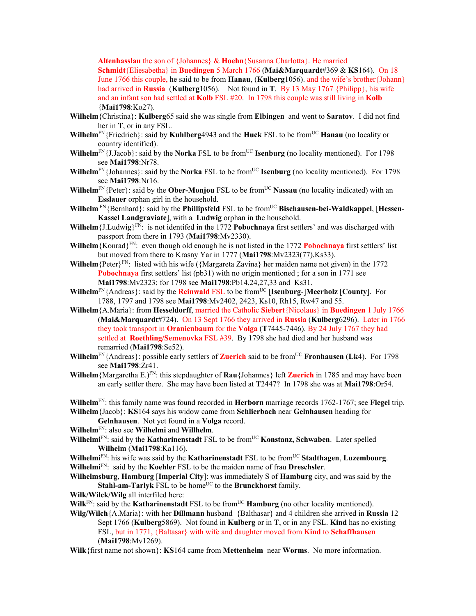**Altenhasslau** the son of {Johannes} & **Hoehn**{Susanna Charlotta}. He married **Schmidt**{Eliesabetha} in **Buedingen** 5 March 1766 (**Mai&Marquardt**#369 & **KS**164). On 18 June 1766 this couple, he said to be from **Hanau**, (**Kulberg**1056). and the wife's brother{Johann} had arrived in **Russia** (**Kulberg**1056). Not found in **T**. By 13 May 1767 {Philipp}, his wife and an infant son had settled at **Kolb** FSL #20. In 1798 this couple was still living in **Kolb** {**Mai1798**:Ko27).

- **Wilhelm**{Christina}: **Kulberg**65 said she was single from **Elbingen** and went to **Saratov**. I did not find her in **T**, or in any FSL.
- **Wilhelm**FN{Friedrich}: said by **Kuhlberg**4943 and the **Huck** FSL to be fromUC **Hanau** (no locality or country identified).
- **Wilhelm**<sup>FN</sup>{J.Jacob}: said by the **Norka** FSL to be from<sup>UC</sup> **Isenburg** (no locality mentioned). For 1798 see **Mai1798**:Nr78.
- **Wilhelm**<sup>FN</sup>{Johannes}: said by the **Norka** FSL to be from<sup>UC</sup> **Isenburg** (no locality mentioned). For 1798 see **Mai1798**:Nr16.
- **Wilhelm**<sup>FN</sup>{Peter}: said by the **Ober-Monjou** FSL to be from<sup>UC</sup> **Nassau** (no locality indicated) with an **Esslauer** orphan girl in the household.
- Wilhelm<sup>FN</sup>{Bernhard}: said by the **Phillipsfeld** FSL to be from<sup>UC</sup> **Bischausen-bei-Waldkappel**, [Hessen-**Kassel Landgraviate**], with a **Ludwig** orphan in the household.
- **Wilhelm** {J.Ludwig} $F_N$ : is not identifed in the 1772 **Pobochnaya** first settlers' and was discharged with passport from there in 1793 (**Mai1798**:Mv2330).
- **Wilhelm**{Konrad}FN: even though old enough he is not listed in the 1772 **Pobochnaya** first settlers' list but moved from there to Krasny Yar in 1777 (**Mai1798**:Mv2323(77),Ks33).
- **Wilhelm** {Peter}<sup>FN</sup>: listed with his wife ({Margareta Zavina} her maiden name not given) in the 1772 **Pobochnaya** first settlers' list (pb31) with no origin mentioned; for a son in 1771 see **Mai1798**:Mv2323; for 1798 see **Mai1798**:Pb14,24,27,33 and Ks31.
- **Wilhelm**<sup>FN</sup>{Andreas}: said by the **Reinwald** FSL to be from<sup>UC</sup> [Isenburg-]Meerholz [County]. For 1788, 1797 and 1798 see **Mai1798**:Mv2402, 2423, Ks10, Rh15, Rw47 and 55.
- **Wilhelm**{A.Maria}: from **Hesseldorff**, married the Catholic **Siebert**{Nicolaus} in **Buedingen** 1 July 1766 (**Mai&Marquardt**#724). On 13 Sept 1766 they arrived in **Russia** (**Kulberg**6296). Later in 1766 they took transport in **Oranienbaum** for the **Volga** (**T**7445-7446). By 24 July 1767 they had settled at **Roethling/Semenovka** FSL #39. By 1798 she had died and her husband was remarried (**Mai1798**:Se52).
- **Wilhelm**FN{Andreas}: possible early settlers of **Zuerich** said to be fromUC **Fronhausen** (**Lk**4). For 1798 see **Mai1798**:Zr41.
- **Wilhelm**{Margaretha E.)FN: this stepdaughter of **Rau**{Johannes} left **Zuerich** in 1785 and may have been an early settler there. She may have been listed at **T**2447? In 1798 she was at **Mai1798**:Or54.

**Wilhelm**FN: this family name was found recorded in **Herborn** marriage records 1762-1767; see **Flegel** trip. **Wilhelm**{Jacob}: **KS**164 says his widow came from **Schlierbach** near **Gelnhausen** heading for

**Gelnhausen**. Not yet found in a **Volga** record.

- **Wilhelm**FN: also see **Wilhelmi** and **Willhelm**.
- **Wilhelmi**FN: said by the **Katharinenstadt** FSL to be fromUC **Konstanz, Schwaben**. Later spelled **Wilhelm** (**Mai1798**:Ka116).
- **Wilhelmi**FN: his wife was said by the **Katharinenstadt** FSL to be fromUC **Stadthagen**, **Luzembourg**. **Wilhelmi**FN: said by the **Koehler** FSL to be the maiden name of frau **Dreschsler**.
- **Wilhelmsburg**, **Hamburg** [**Imperial City**]: was immediately S of **Hamburg** city, and was said by the **Stahl-am-Tarlyk** FSL to be home<sup>UC</sup> to the **Brunckhorst** family.
- **Wilk/Wilck/Wilg** all interfiled here:
- **Wilk**<sup>FN</sup>: said by the **Katharinenstadt** FSL to be from<sup>UC</sup> **Hamburg** (no other locality mentioned).
- **Wilg/Wilch**{A.Maria}: with her **Dillmann** husband {Balthasar} and 4 children she arrived in **Russia** 12 Sept 1766 (**Kulberg**5869). Not found in **Kulberg** or in **T**, or in any FSL. **Kind** has no existing FSL, but in 1771, {Baltasar} with wife and daughter moved from **Kind** to **Schaffhausen** (**Mai1798**:Mv1269).

**Wilk**{first name not shown}: **KS**164 came from **Mettenheim** near **Worms**. No more information.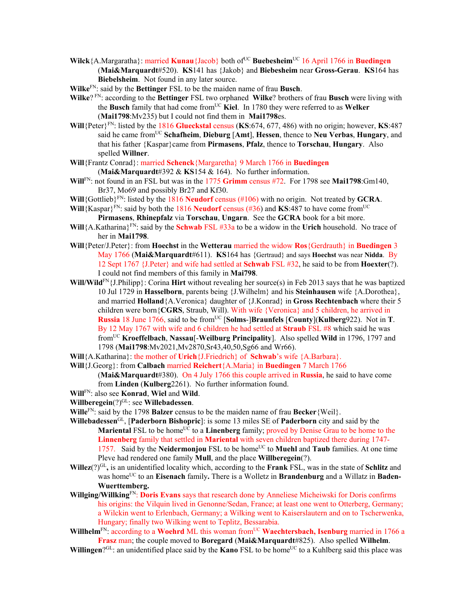- **Wilck** {A.Margaratha}: married **Kunau** {Jacob} both of<sup>UC</sup> **Buebesheim**<sup>UC</sup> 16 April 1766 in **Buedingen** (**Mai&Marquardt**#520). **KS**141 has {Jakob} and **Biebesheim** near **Gross-Gerau**. **KS**164 has **Biebelsheim**. Not found in any later source.
- **Wilke**FN: said by the **Bettinger** FSL to be the maiden name of frau **Busch**.
- **Wilke**? FN: according to the **Bettinger** FSL two orphaned **Wilke**? brothers of frau **Busch** were living with the **Busch** family that had come from<sup>UC</sup> Kiel. In 1780 they were referred to as Welker (**Mai1798**:Mv235) but I could not find them in **Mai1798**es.
- **Will** ${$ Peter $}$ <sup>FN</sup>: listed by the 1816 **Glueckstal** census (**KS**:674, 677, 486) with no origin; however, **KS**:487 said he came fromUC **Schafheim**, **Dieburg** [**Amt**], **Hessen**, thence to **Neu Verbas**, **Hungary**, and that his father {Kaspar}came from **Pirmasens**, **Pfalz**, thence to **Torschau**, **Hungary**. Also spelled **Willner**.
- **Will**{Frantz Conrad}: married **Schenck**{Margaretha} 9 March 1766 in **Buedingen**  (**Mai&Marquardt**#392 & **KS**154 & 164). No further information.
- **Will**FN: not found in an FSL but was in the 1775 **Grimm** census #72. For 1798 see **Mai1798**:Gm140, Br37, Mo69 and possibly Br27 and Kf30.
- **Will**{Gottlieb}FN: listed by the 1816 **Neudorf** census (#106) with no origin. Not treated by **GCRA**.
- **Will** {Kaspar}<sup>FN</sup>: said by both the 1816 **Neudorf** census (#36) and **KS**:487 to have come from<sup>UC</sup> **Pirmasens**, **Rhinepfalz** via **Torschau**, **Ungarn**. See the **GCRA** book for a bit more.
- **Will**{A.Katharina}FN: said by the **Schwab** FSL #33a to be a widow in the **Urich** household. No trace of her in **Mai1798**.
- **Will**{Peter/J.Peter}: from **Hoechst** in the **Wetterau** married the widow **Ros**{Gerdrauth} in **Buedingen** 3 May 1766 (**Mai&Marquardt**#611). **KS**164 has {Gertraud} and says **Hoechst** was near **Nidda**. By 12 Sept 1767 {J.Peter} and wife had settled at **Schwab** FSL #32, he said to be from **Hoexter**(?). I could not find members of this family in **Mai798**.
- **Will/Wild**FN{J.Philipp}: Corina **Hirt** without revealing her source(s) in Feb 2013 says that he was baptized 10 Jul 1729 in **Hasselborn**, parents being {J.Wilhelm} and his **Steinhausen** wife {A.Dorothea}, and married **Holland**{A.Veronica} daughter of {J.Konrad} in **Gross Rechtenbach** where their 5 children were born{**CGRS**, Straub, Will). With wife {Veronica} and 5 children, he arrived in **Russia** 18 June 1766, said to be from<sup>UC</sup> [Solms-]Braunfels [County](Kulberg922). Not in T. By 12 May 1767 with wife and 6 children he had settled at **Straub** FSL #8 which said he was fromUC **Kroeffelbach**, **Nassau**[-**Weilburg Principality**]. Also spelled **Wild** in 1796, 1797 and 1798 (**Mai1798**:Mv2021,Mv2870,Sr43,40,50,Sg66 and Wr66).
- **Will**{A.Katharina}: the mother of **Urich**{J.Friedrich} of **Schwab**'s wife {A.Barbara}.
- **Will**{J.Georg}: from **Calbach** married **Reichert**{A.Maria} in **Buedingen** 7 March 1766

(**Mai&Marquardt**#380). On 4 July 1766 this couple arrived in **Russia**, he said to have come from **Linden** (**Kulberg**2261). No further information found.

- **Will**FN: also see **Konrad**, **Wiel** and **Wild**.
- **Willberegein**(?)GL: see **Willebadessen**.
- **Wille**FN: said by the 1798 **Balzer** census to be the maiden name of frau **Becker**{Weil}.
- **Willebadessen**GL, [**Paderborn Bishopric**]: is some 13 miles SE of **Paderborn** city and said by the **Mariental** FSL to be home<sup>UC</sup> to a **Linenberg** family; proved by Denise Grau to be home to the **Linnenberg** family that settled in **Mariental** with seven children baptized there during 1747- 1757. Said by the **Neidermonjou** FSL to be home<sup>UC</sup> to **Muehl** and **Taub** families. At one time Pleve had rendered one family **Mull**, and the place **Willberegein**(?).
- **Willez**( $?$ )<sup>GL</sup>, is an unidentified locality which, according to the **Frank** FSL, was in the state of **Schlitz** and was home<sup>UC</sup> to an **Eisenach** family. There is a Wolletz in **Brandenburg** and a Willatz in **Baden-Wuerttemberg.**
- **Willging/Willking**FN: **Doris Evans** says that research done by Anneliese Micheiwski for Doris confirms his origins: the Vilquin lived in Genonne/Sedan, France; at least one went to Otterberg, Germany; a Wilckin went to Erlenbach, Germany; a Wilking went to Kaiserslautern and on to Tscherwenka, Hungary; finally two Wilking went to Teplitz, Bessarabia.
- **Willhelm**FN: according to a **Woehrd** ML this woman fromUC **Waechtersbach, Isenburg** married in 1766 a **Frasz** man; the couple moved to **Boregard** (**Mai&Marquardt**#825). Also spelled **Wilhelm**.
- Willingen?<sup>GL</sup>: an unidentified place said by the **Kano** FSL to be home<sup>UC</sup> to a Kuhlberg said this place was